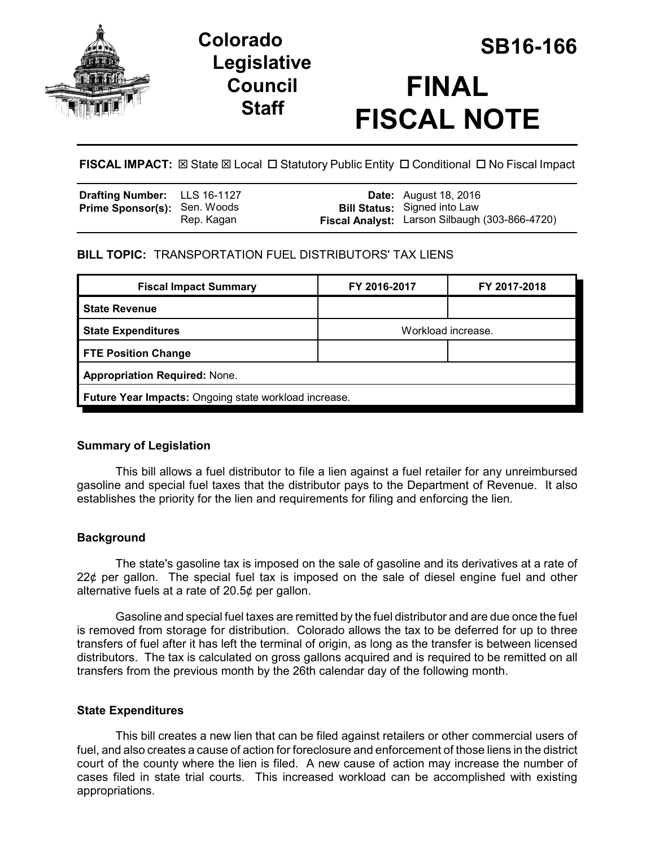

# **Legislative Council Staff**



**FISCAL IMPACT:**  $\boxtimes$  **State**  $\boxtimes$  **Local □ Statutory Public Entity □ Conditional □ No Fiscal Impact** 

| <b>Drafting Number:</b> LLS 16-1127 |            | <b>Date:</b> August 18, 2016                                                          |
|-------------------------------------|------------|---------------------------------------------------------------------------------------|
| <b>Prime Sponsor(s): Sen. Woods</b> | Rep. Kagan | <b>Bill Status:</b> Signed into Law<br>Fiscal Analyst: Larson Silbaugh (303-866-4720) |

# **BILL TOPIC:** TRANSPORTATION FUEL DISTRIBUTORS' TAX LIENS

| <b>Fiscal Impact Summary</b>                          | FY 2016-2017       | FY 2017-2018 |  |  |
|-------------------------------------------------------|--------------------|--------------|--|--|
| <b>State Revenue</b>                                  |                    |              |  |  |
| <b>State Expenditures</b>                             | Workload increase. |              |  |  |
| <b>FTE Position Change</b>                            |                    |              |  |  |
| <b>Appropriation Required: None.</b>                  |                    |              |  |  |
| Future Year Impacts: Ongoing state workload increase. |                    |              |  |  |

## **Summary of Legislation**

This bill allows a fuel distributor to file a lien against a fuel retailer for any unreimbursed gasoline and special fuel taxes that the distributor pays to the Department of Revenue. It also establishes the priority for the lien and requirements for filing and enforcing the lien.

# **Background**

The state's gasoline tax is imposed on the sale of gasoline and its derivatives at a rate of 22¢ per gallon. The special fuel tax is imposed on the sale of diesel engine fuel and other alternative fuels at a rate of 20.5¢ per gallon.

Gasoline and special fuel taxes are remitted by the fuel distributor and are due once the fuel is removed from storage for distribution. Colorado allows the tax to be deferred for up to three transfers of fuel after it has left the terminal of origin, as long as the transfer is between licensed distributors. The tax is calculated on gross gallons acquired and is required to be remitted on all transfers from the previous month by the 26th calendar day of the following month.

## **State Expenditures**

This bill creates a new lien that can be filed against retailers or other commercial users of fuel, and also creates a cause of action for foreclosure and enforcement of those liens in the district court of the county where the lien is filed. A new cause of action may increase the number of cases filed in state trial courts. This increased workload can be accomplished with existing appropriations.